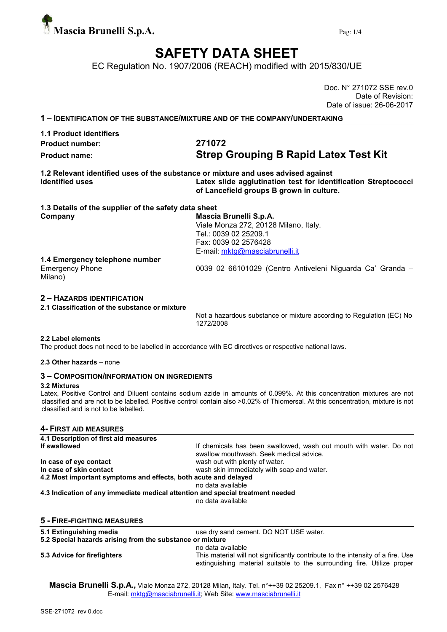

## SAFETY DATA SHEET

EC Regulation No. 1907/2006 (REACH) modified with 2015/830/UE

Doc. N° 271072 SSE rev.0 Date of Revision: Date of issue: 26-06-2017

1 – IDENTIFICATION OF THE SUBSTANCE/MIXTURE AND OF THE COMPANY/UNDERTAKING

### 1.1 Product identifiers Product number: 271072

# Product name: Strep Grouping B Rapid Latex Test Kit

1.2 Relevant identified uses of the substance or mixture and uses advised against Identified uses Latex slide agglutination test for identification Streptococci of Lancefield groups B grown in culture.

| 1.3 Details of the supplier of the safety data sheet |                                                           |
|------------------------------------------------------|-----------------------------------------------------------|
| Company                                              | Mascia Brunelli S.p.A.                                    |
|                                                      | Viale Monza 272, 20128 Milano, Italy.                     |
|                                                      | Tel.: 0039 02 25209.1                                     |
|                                                      | Fax: 0039 02 2576428                                      |
|                                                      | E-mail: mktg@masciabrunelli.it                            |
| 1.4 Emergency telephone number                       |                                                           |
| <b>Emergency Phone</b><br>Milano)                    | 0039 02 66101029 (Centro Antiveleni Niguarda Ca' Granda - |
|                                                      |                                                           |

#### 2 – HAZARDS IDENTIFICATION

2.1 Classification of the substance or mixture

Not a hazardous substance or mixture according to Regulation (EC) No 1272/2008

#### 2.2 Label elements

The product does not need to be labelled in accordance with EC directives or respective national laws.

#### 2.3 Other hazards – none

#### 3 – COMPOSITION/INFORMATION ON INGREDIENTS

#### 3.2 Mixtures

Latex, Positive Control and Diluent contains sodium azide in amounts of 0.099%. At this concentration mixtures are not classified and are not to be labelled. Positive control contain also >0.02% of Thiomersal. At this concentration, mixture is not classified and is not to be labelled.

#### 4- FIRST AID MEASURES

| 4.1 Description of first aid measures                                          |                                                                                                                                                            |  |  |  |  |
|--------------------------------------------------------------------------------|------------------------------------------------------------------------------------------------------------------------------------------------------------|--|--|--|--|
| If swallowed                                                                   | If chemicals has been swallowed, wash out mouth with water. Do not<br>swallow mouthwash. Seek medical advice.                                              |  |  |  |  |
| In case of eye contact                                                         | wash out with plenty of water.                                                                                                                             |  |  |  |  |
| In case of skin contact                                                        | wash skin immediately with soap and water.                                                                                                                 |  |  |  |  |
| 4.2 Most important symptoms and effects, both acute and delayed                |                                                                                                                                                            |  |  |  |  |
|                                                                                | no data available                                                                                                                                          |  |  |  |  |
| 4.3 Indication of any immediate medical attention and special treatment needed |                                                                                                                                                            |  |  |  |  |
|                                                                                | no data available                                                                                                                                          |  |  |  |  |
| 5 - FIRE-FIGHTING MEASURES                                                     |                                                                                                                                                            |  |  |  |  |
| 5.1 Extinguishing media                                                        | use dry sand cement. DO NOT USE water.                                                                                                                     |  |  |  |  |
| 5.2 Special hazards arising from the substance or mixture                      |                                                                                                                                                            |  |  |  |  |
|                                                                                | no data available                                                                                                                                          |  |  |  |  |
| 5.3 Advice for firefighters                                                    | This material will not significantly contribute to the intensity of a fire. Use<br>extinguishing material suitable to the surrounding fire. Utilize proper |  |  |  |  |

Mascia Brunelli S.p.A., Viale Monza 272, 20128 Milan, Italy. Tel. n°++39 02 25209.1, Fax n° ++39 02 2576428 E-mail: mktg@masciabrunelli.it; Web Site: www.masciabrunelli.it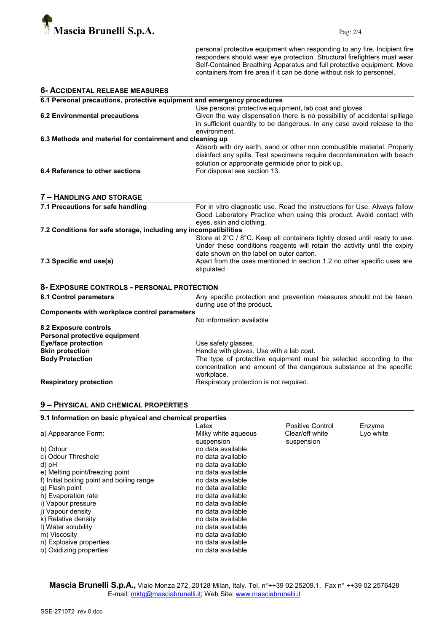

personal protective equipment when responding to any fire. Incipient fire responders should wear eye protection. Structural firefighters must wear Self-Contained Breathing Apparatus and full protective equipment. Move containers from fire area if it can be done without risk to personnel.

| <b>6- ACCIDENTAL RELEASE MEASURES</b>                                   |                                                                                                                                                                                                                                                                                              |  |  |  |
|-------------------------------------------------------------------------|----------------------------------------------------------------------------------------------------------------------------------------------------------------------------------------------------------------------------------------------------------------------------------------------|--|--|--|
| 6.1 Personal precautions, protective equipment and emergency procedures |                                                                                                                                                                                                                                                                                              |  |  |  |
| <b>6.2 Environmental precautions</b>                                    | Use personal protective equipment, lab coat and gloves<br>Given the way dispensation there is no possibility of accidental spillage<br>in sufficient quantity to be dangerous. In any case avoid release to the<br>environment.                                                              |  |  |  |
| 6.3 Methods and material for containment and cleaning up                |                                                                                                                                                                                                                                                                                              |  |  |  |
| 6.4 Reference to other sections                                         | Absorb with dry earth, sand or other non combustible material. Properly<br>disinfect any spills. Test specimens require decontamination with beach<br>solution or appropriate germicide prior to pick up.<br>For disposal see section 13.                                                    |  |  |  |
|                                                                         |                                                                                                                                                                                                                                                                                              |  |  |  |
| 7 - HANDLING AND STORAGE                                                |                                                                                                                                                                                                                                                                                              |  |  |  |
| 7.1 Precautions for safe handling                                       | For in vitro diagnostic use. Read the instructions for Use. Always follow<br>Good Laboratory Practice when using this product. Avoid contact with<br>eyes, skin and clothing.                                                                                                                |  |  |  |
| 7.2 Conditions for safe storage, including any incompatibilities        |                                                                                                                                                                                                                                                                                              |  |  |  |
| 7.3 Specific end use(s)                                                 | Store at 2°C / 8°C. Keep all containers tightly closed until ready to use.<br>Under these conditions reagents will retain the activity until the expiry<br>date shown on the label on outer carton.<br>Apart from the uses mentioned in section 1.2 no other specific uses are<br>stipulated |  |  |  |
| 8- EXPOSURE CONTROLS - PERSONAL PROTECTION                              |                                                                                                                                                                                                                                                                                              |  |  |  |
| 8.1 Control parameters                                                  | Any specific protection and prevention measures should not be taken<br>during use of the product.                                                                                                                                                                                            |  |  |  |
| <b>Components with workplace control parameters</b>                     |                                                                                                                                                                                                                                                                                              |  |  |  |
|                                                                         | No information available                                                                                                                                                                                                                                                                     |  |  |  |
| 8.2 Exposure controls<br>Personal protective equipment                  |                                                                                                                                                                                                                                                                                              |  |  |  |
| <b>Eye/face protection</b>                                              | Use safety glasses.                                                                                                                                                                                                                                                                          |  |  |  |
| <b>Skin protection</b>                                                  | Handle with gloves. Use with a lab coat.                                                                                                                                                                                                                                                     |  |  |  |
| <b>Body Protection</b>                                                  | The type of protective equipment must be selected according to the<br>concentration and amount of the dangerous substance at the specific<br>workplace.                                                                                                                                      |  |  |  |
| <b>Respiratory protection</b>                                           | Respiratory protection is not required.                                                                                                                                                                                                                                                      |  |  |  |

#### 9 – PHYSICAL AND CHEMICAL PROPERTIES

| 9.1 Information on basic physical and chemical properties |                  |           |  |  |
|-----------------------------------------------------------|------------------|-----------|--|--|
| Latex                                                     | Positive Control | Enzyme    |  |  |
| Milky white agueous                                       | Clear/off white  | Lyo white |  |  |
| suspension                                                | suspension       |           |  |  |
| no data available                                         |                  |           |  |  |
| no data available                                         |                  |           |  |  |
| no data available                                         |                  |           |  |  |
| no data available                                         |                  |           |  |  |
| no data available                                         |                  |           |  |  |
| no data available                                         |                  |           |  |  |
| no data available                                         |                  |           |  |  |
| no data available                                         |                  |           |  |  |
| no data available                                         |                  |           |  |  |
| no data available                                         |                  |           |  |  |
| no data available                                         |                  |           |  |  |
| no data available                                         |                  |           |  |  |
| no data available                                         |                  |           |  |  |
| no data available                                         |                  |           |  |  |
|                                                           |                  |           |  |  |

Mascia Brunelli S.p.A., Viale Monza 272, 20128 Milan, Italy. Tel. n°++39 02 25209.1, Fax n° ++39 02 2576428 E-mail: mktg@masciabrunelli.it; Web Site: www.masciabrunelli.it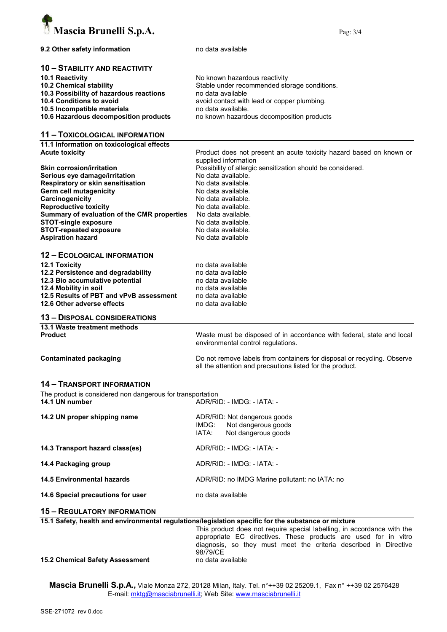

#### 9.2 Other safety information modata available

#### 10 – STABILITY AND REACTIVITY

| <b>10.1 Reactivity</b>                  | No known hazardous reactivity                |
|-----------------------------------------|----------------------------------------------|
| 10.2 Chemical stability                 | Stable under recommended storage conditions. |
| 10.3 Possibility of hazardous reactions | no data available                            |
| 10.4 Conditions to avoid                | avoid contact with lead or copper plumbing.  |
| 10.5 Incompatible materials             | no data available.                           |
| 10.6 Hazardous decomposition products   | no known hazardous decomposition products    |

#### 11 – TOXICOLOGICAL INFORMATION

11.1 Information on toxicological effects<br>Acute toxicity

| <b>Acute toxicity</b>                       | Product does not present an acute toxicity hazard based on known or<br>supplied information |
|---------------------------------------------|---------------------------------------------------------------------------------------------|
| <b>Skin corrosion/irritation</b>            | Possibility of allergic sensitization should be considered.                                 |
| Serious eye damage/irritation               | No data available.                                                                          |
| Respiratory or skin sensitisation           | No data available.                                                                          |
| Germ cell mutagenicity                      | No data available.                                                                          |
| Carcinogenicity                             | No data available.                                                                          |
| <b>Reproductive toxicity</b>                | No data available.                                                                          |
| Summary of evaluation of the CMR properties | No data available.                                                                          |
| <b>STOT-single exposure</b>                 | No data available.                                                                          |
| <b>STOT-repeated exposure</b>               | No data available.                                                                          |
| <b>Aspiration hazard</b>                    | No data available                                                                           |

#### 12 – ECOLOGICAL INFORMATION

| <b>12.1 Toxicity</b>                    | no data available                                                     |
|-----------------------------------------|-----------------------------------------------------------------------|
| 12.2 Persistence and degradability      | no data available                                                     |
| 12.3 Bio accumulative potential         | no data available                                                     |
| 12.4 Mobility in soil                   | no data available                                                     |
| 12.5 Results of PBT and vPvB assessment | no data available                                                     |
| 12.6 Other adverse effects              | no data available                                                     |
| <b>13 - DISPOSAL CONSIDERATIONS</b>     |                                                                       |
| 13.1 Waste treatment methods            |                                                                       |
| <b>Product</b>                          | Waste must be disposed of in accordance with federal, state and local |

environmental control regulations. Contaminated packaging Do not remove labels from containers for disposal or recycling. Observe

all the attention and precautions listed for the product.

#### 14 – TRANSPORT INFORMATION

| The product is considered non dangerous for transportation |                            |  |  |  |
|------------------------------------------------------------|----------------------------|--|--|--|
| 14.1 UN number                                             | ADR/RID: - IMDG: - IATA: - |  |  |  |
|                                                            |                            |  |  |  |

| 14.2 UN proper shipping name      | ADR/RID: Not dangerous goods<br>IMDG: Not dangerous goods<br>Not dangerous goods<br>IATA: |  |  |
|-----------------------------------|-------------------------------------------------------------------------------------------|--|--|
| 14.3 Transport hazard class(es)   | ADR/RID: - IMDG: - IATA: -                                                                |  |  |
| 14.4 Packaging group              | ADR/RID: - IMDG: - IATA: -                                                                |  |  |
| <b>14.5 Environmental hazards</b> | ADR/RID: no IMDG Marine pollutant: no IATA: no                                            |  |  |
| 14.6 Special precautions for user | no data available                                                                         |  |  |

#### 15 – REGULATORY INFORMATION

|  |  | 15.1 Safety, health and environmental regulations/legislation specific for the substance or mixture |  |  |  |  |  |
|--|--|-----------------------------------------------------------------------------------------------------|--|--|--|--|--|
|--|--|-----------------------------------------------------------------------------------------------------|--|--|--|--|--|

This product does not require special labelling, in accordance with the appropriate EC directives. These products are used for in vitro diagnosis, so they must meet the criteria described in Directive 98/79/CE

15.2 Chemical Safety Assessment no data available

Mascia Brunelli S.p.A., Viale Monza 272, 20128 Milan, Italy. Tel. n°++39 02 25209.1, Fax n° ++39 02 2576428 E-mail: mktg@masciabrunelli.it; Web Site: www.masciabrunelli.it